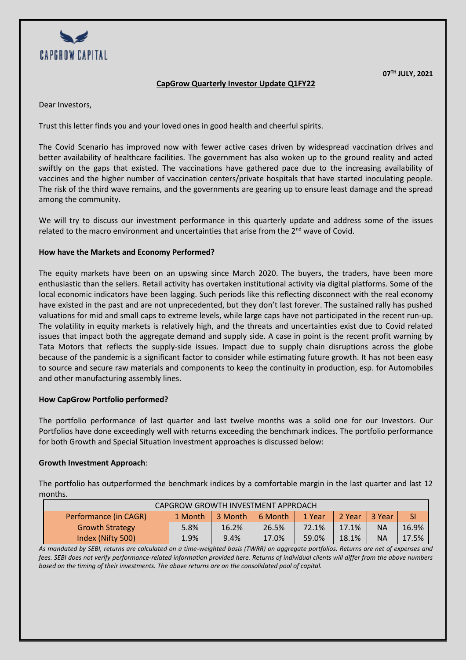

**07TH JULY, 2021**

# **CapGrow Quarterly Investor Update Q1FY22**

Dear Investors,

Trust this letter finds you and your loved ones in good health and cheerful spirits.

The Covid Scenario has improved now with fewer active cases driven by widespread vaccination drives and better availability of healthcare facilities. The government has also woken up to the ground reality and acted swiftly on the gaps that existed. The vaccinations have gathered pace due to the increasing availability of vaccines and the higher number of vaccination centers/private hospitals that have started inoculating people. The risk of the third wave remains, and the governments are gearing up to ensure least damage and the spread among the community.

We will try to discuss our investment performance in this quarterly update and address some of the issues related to the macro environment and uncertainties that arise from the  $2<sup>nd</sup>$  wave of Covid.

## **How have the Markets and Economy Performed?**

The equity markets have been on an upswing since March 2020. The buyers, the traders, have been more enthusiastic than the sellers. Retail activity has overtaken institutional activity via digital platforms. Some of the local economic indicators have been lagging. Such periods like this reflecting disconnect with the real economy have existed in the past and are not unprecedented, but they don't last forever. The sustained rally has pushed valuations for mid and small caps to extreme levels, while large caps have not participated in the recent run-up. The volatility in equity markets is relatively high, and the threats and uncertainties exist due to Covid related issues that impact both the aggregate demand and supply side. A case in point is the recent profit warning by Tata Motors that reflects the supply-side issues. Impact due to supply chain disruptions across the globe because of the pandemic is a significant factor to consider while estimating future growth. It has not been easy to source and secure raw materials and components to keep the continuity in production, esp. for Automobiles and other manufacturing assembly lines.

## **How CapGrow Portfolio performed?**

The portfolio performance of last quarter and last twelve months was a solid one for our Investors. Our Portfolios have done exceedingly well with returns exceeding the benchmark indices. The portfolio performance for both Growth and Special Situation Investment approaches is discussed below:

## **Growth Investment Approach**:

The portfolio has outperformed the benchmark indices by a comfortable margin in the last quarter and last 12 months.

| CAPGROW GROWTH INVESTMENT APPROACH |         |         |         |        |        |               |       |  |  |  |
|------------------------------------|---------|---------|---------|--------|--------|---------------|-------|--|--|--|
| Performance (in CAGR)              | 1 Month | 3 Month | 6 Month | 1 Year | 2 Year | <b>3 Year</b> | SI    |  |  |  |
| <b>Growth Strategy</b>             | 5.8%    | 16.2%   | 26.5%   | 72.1%  | 17.1%  | ΝA            | 16.9% |  |  |  |
| Index (Nifty 500)                  | 1.9%    | 9.4%    | 17.0%   | 59.0%  | 18.1%  | ΝA            | 17.5% |  |  |  |

*As mandated by SEBI, returns are calculated on a time-weighted basis (TWRR) on aggregate portfolios. Returns are net of expenses and fees. SEBI does not verify performance-related information provided here. Returns of individual clients will differ from the above numbers based on the timing of their investments. The above returns are on the consolidated pool of capital.*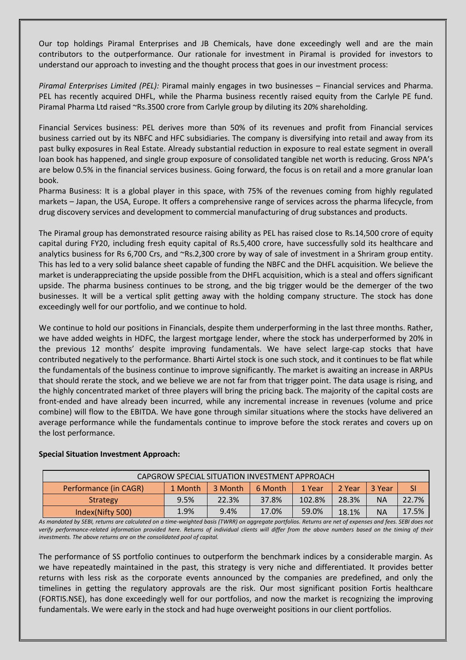Our top holdings Piramal Enterprises and JB Chemicals, have done exceedingly well and are the main contributors to the outperformance. Our rationale for investment in Piramal is provided for investors to understand our approach to investing and the thought process that goes in our investment process:

*Piramal Enterprises Limited (PEL):* Piramal mainly engages in two businesses – Financial services and Pharma. PEL has recently acquired DHFL, while the Pharma business recently raised equity from the Carlyle PE fund. Piramal Pharma Ltd raised ~Rs.3500 crore from Carlyle group by diluting its 20% shareholding.

Financial Services business: PEL derives more than 50% of its revenues and profit from Financial services business carried out by its NBFC and HFC subsidiaries. The company is diversifying into retail and away from its past bulky exposures in Real Estate. Already substantial reduction in exposure to real estate segment in overall loan book has happened, and single group exposure of consolidated tangible net worth is reducing. Gross NPA's are below 0.5% in the financial services business. Going forward, the focus is on retail and a more granular loan book.

Pharma Business: It is a global player in this space, with 75% of the revenues coming from highly regulated markets – Japan, the USA, Europe. It offers a comprehensive range of services across the pharma lifecycle, from drug discovery services and development to commercial manufacturing of drug substances and products.

The Piramal group has demonstrated resource raising ability as PEL has raised close to Rs.14,500 crore of equity capital during FY20, including fresh equity capital of Rs.5,400 crore, have successfully sold its healthcare and analytics business for Rs 6,700 Crs, and ~Rs.2,300 crore by way of sale of investment in a Shriram group entity. This has led to a very solid balance sheet capable of funding the NBFC and the DHFL acquisition. We believe the market is underappreciating the upside possible from the DHFL acquisition, which is a steal and offers significant upside. The pharma business continues to be strong, and the big trigger would be the demerger of the two businesses. It will be a vertical split getting away with the holding company structure. The stock has done exceedingly well for our portfolio, and we continue to hold.

We continue to hold our positions in Financials, despite them underperforming in the last three months. Rather, we have added weights in HDFC, the largest mortgage lender, where the stock has underperformed by 20% in the previous 12 months' despite improving fundamentals. We have select large-cap stocks that have contributed negatively to the performance. Bharti Airtel stock is one such stock, and it continues to be flat while the fundamentals of the business continue to improve significantly. The market is awaiting an increase in ARPUs that should rerate the stock, and we believe we are not far from that trigger point. The data usage is rising, and the highly concentrated market of three players will bring the pricing back. The majority of the capital costs are front-ended and have already been incurred, while any incremental increase in revenues (volume and price combine) will flow to the EBITDA. We have gone through similar situations where the stocks have delivered an average performance while the fundamentals continue to improve before the stock rerates and covers up on the lost performance.

| CAPGROW SPECIAL SITUATION INVESTMENT APPROACH |         |         |         |        |        |           |       |  |  |  |
|-----------------------------------------------|---------|---------|---------|--------|--------|-----------|-------|--|--|--|
| Performance (in CAGR)                         | 1 Month | 3 Month | 6 Month | 1 Year | 2 Year | 3 Year    | SI    |  |  |  |
| <b>Strategy</b>                               | 9.5%    | 22.3%   | 37.8%   | 102.8% | 28.3%  | <b>NA</b> | 22.7% |  |  |  |
| Index(Nifty 500)                              | 1.9%    | 9.4%    | 17.0%   | 59.0%  | 18.1%  | <b>NA</b> | 17.5% |  |  |  |

## **Special Situation Investment Approach:**

*As mandated by SEBI, returns are calculated on a time-weighted basis (TWRR) on aggregate portfolios. Returns are net of expenses and fees. SEBI does not*  verify performance-related information provided here. Returns of individual clients will differ from the above numbers based on the timing of their *investments. The above returns are on the consolidated pool of capital.*

The performance of SS portfolio continues to outperform the benchmark indices by a considerable margin. As we have repeatedly maintained in the past, this strategy is very niche and differentiated. It provides better returns with less risk as the corporate events announced by the companies are predefined, and only the timelines in getting the regulatory approvals are the risk. Our most significant position Fortis healthcare (FORTIS.NSE), has done exceedingly well for our portfolios, and now the market is recognizing the improving fundamentals. We were early in the stock and had huge overweight positions in our client portfolios.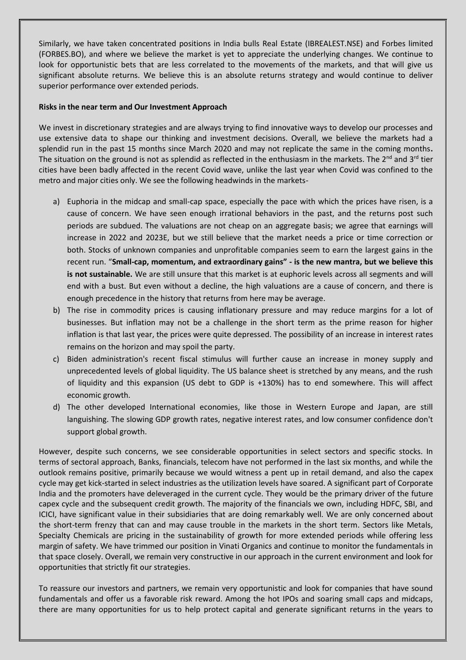Similarly, we have taken concentrated positions in India bulls Real Estate (IBREALEST.NSE) and Forbes limited (FORBES.BO), and where we believe the market is yet to appreciate the underlying changes. We continue to look for opportunistic bets that are less correlated to the movements of the markets, and that will give us significant absolute returns. We believe this is an absolute returns strategy and would continue to deliver superior performance over extended periods.

#### **Risks in the near term and Our Investment Approach**

We invest in discretionary strategies and are always trying to find innovative ways to develop our processes and use extensive data to shape our thinking and investment decisions. Overall, we believe the markets had a splendid run in the past 15 months since March 2020 and may not replicate the same in the coming months**.**  The situation on the ground is not as splendid as reflected in the enthusiasm in the markets. The 2<sup>nd</sup> and 3<sup>rd</sup> tier cities have been badly affected in the recent Covid wave, unlike the last year when Covid was confined to the metro and major cities only. We see the following headwinds in the markets-

- a) Euphoria in the midcap and small-cap space, especially the pace with which the prices have risen, is a cause of concern. We have seen enough irrational behaviors in the past, and the returns post such periods are subdued. The valuations are not cheap on an aggregate basis; we agree that earnings will increase in 2022 and 2023E, but we still believe that the market needs a price or time correction or both. Stocks of unknown companies and unprofitable companies seem to earn the largest gains in the recent run. "**Small-cap, momentum, and extraordinary gains" - is the new mantra, but we believe this is not sustainable.** We are still unsure that this market is at euphoric levels across all segments and will end with a bust. But even without a decline, the high valuations are a cause of concern, and there is enough precedence in the history that returns from here may be average.
- b) The rise in commodity prices is causing inflationary pressure and may reduce margins for a lot of businesses. But inflation may not be a challenge in the short term as the prime reason for higher inflation is that last year, the prices were quite depressed. The possibility of an increase in interest rates remains on the horizon and may spoil the party.
- c) Biden administration's recent fiscal stimulus will further cause an increase in money supply and unprecedented levels of global liquidity. The US balance sheet is stretched by any means, and the rush of liquidity and this expansion (US debt to GDP is +130%) has to end somewhere. This will affect economic growth.
- d) The other developed International economies, like those in Western Europe and Japan, are still languishing. The slowing GDP growth rates, negative interest rates, and low consumer confidence don't support global growth.

However, despite such concerns, we see considerable opportunities in select sectors and specific stocks. In terms of sectoral approach, Banks, financials, telecom have not performed in the last six months, and while the outlook remains positive, primarily because we would witness a pent up in retail demand, and also the capex cycle may get kick-started in select industries as the utilization levels have soared. A significant part of Corporate India and the promoters have deleveraged in the current cycle. They would be the primary driver of the future capex cycle and the subsequent credit growth. The majority of the financials we own, including HDFC, SBI, and ICICI, have significant value in their subsidiaries that are doing remarkably well. We are only concerned about the short-term frenzy that can and may cause trouble in the markets in the short term. Sectors like Metals, Specialty Chemicals are pricing in the sustainability of growth for more extended periods while offering less margin of safety. We have trimmed our position in Vinati Organics and continue to monitor the fundamentals in that space closely. Overall, we remain very constructive in our approach in the current environment and look for opportunities that strictly fit our strategies.

To reassure our investors and partners, we remain very opportunistic and look for companies that have sound fundamentals and offer us a favorable risk reward. Among the hot IPOs and soaring small caps and midcaps, there are many opportunities for us to help protect capital and generate significant returns in the years to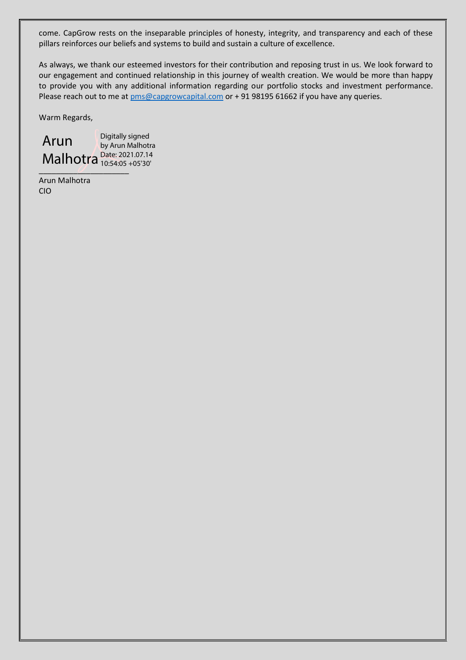come. CapGrow rests on the inseparable principles of honesty, integrity, and transparency and each of these pillars reinforces our beliefs and systems to build and sustain a culture of excellence.

As always, we thank our esteemed investors for their contribution and reposing trust in us. We look forward to our engagement and continued relationship in this journey of wealth creation. We would be more than happy to provide you with any additional information regarding our portfolio stocks and investment performance. Please reach out to me at  $pms@capgroundton$ capital.com or + 91 98195 61662 if you have any queries.

Warm Regards,

 $\overline{\mathcal{O}}$ Arun Malhotra  $\frac{\text{Date: }2021.07.14}{10:54:05+05'30'}$ Digitally signed by Arun Malhotra 10:54:05 +05'30'

Arun Malhotra CIO